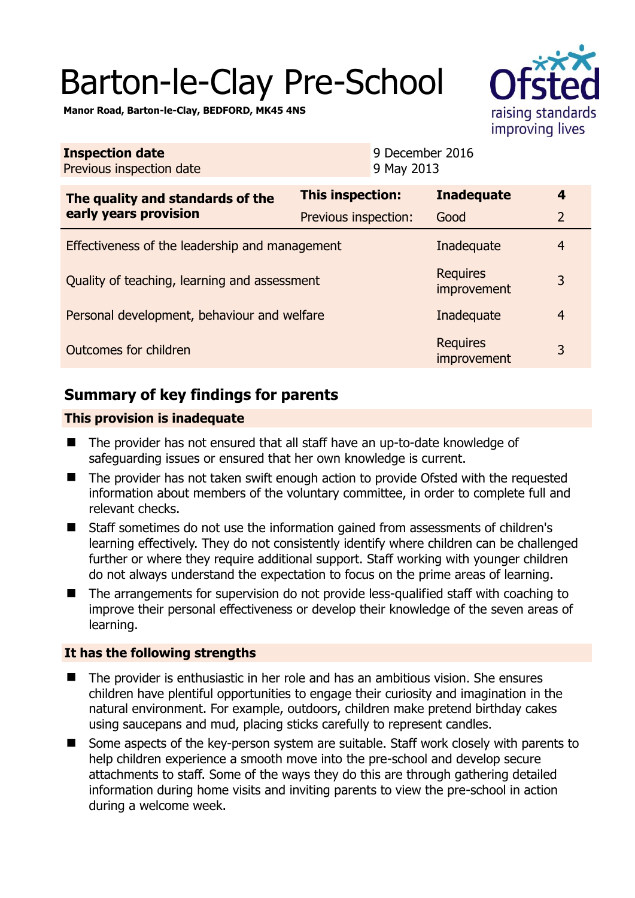# Barton-le-Clay Pre-School



**Manor Road, Barton-le-Clay, BEDFORD, MK45 4NS** 

|                                                | <b>Inadequate</b> | 4                                                                                                                                                                         |
|------------------------------------------------|-------------------|---------------------------------------------------------------------------------------------------------------------------------------------------------------------------|
|                                                | Good              | $\overline{2}$                                                                                                                                                            |
| Effectiveness of the leadership and management |                   | $\overline{4}$                                                                                                                                                            |
| Quality of teaching, learning and assessment   |                   |                                                                                                                                                                           |
| Personal development, behaviour and welfare    |                   | $\overline{4}$                                                                                                                                                            |
| Outcomes for children                          |                   | 3                                                                                                                                                                         |
|                                                |                   | 9 December 2016<br>9 May 2013<br>This inspection:<br>Previous inspection:<br>Inadequate<br><b>Requires</b><br>improvement<br>Inadequate<br><b>Requires</b><br>improvement |

# **Summary of key findings for parents**

## **This provision is inadequate**

- The provider has not ensured that all staff have an up-to-date knowledge of safeguarding issues or ensured that her own knowledge is current.
- The provider has not taken swift enough action to provide Ofsted with the requested information about members of the voluntary committee, in order to complete full and relevant checks.
- Staff sometimes do not use the information gained from assessments of children's learning effectively. They do not consistently identify where children can be challenged further or where they require additional support. Staff working with younger children do not always understand the expectation to focus on the prime areas of learning.
- The arrangements for supervision do not provide less-qualified staff with coaching to improve their personal effectiveness or develop their knowledge of the seven areas of learning.

## **It has the following strengths**

- The provider is enthusiastic in her role and has an ambitious vision. She ensures children have plentiful opportunities to engage their curiosity and imagination in the natural environment. For example, outdoors, children make pretend birthday cakes using saucepans and mud, placing sticks carefully to represent candles.
- Some aspects of the key-person system are suitable. Staff work closely with parents to help children experience a smooth move into the pre-school and develop secure attachments to staff. Some of the ways they do this are through gathering detailed information during home visits and inviting parents to view the pre-school in action during a welcome week.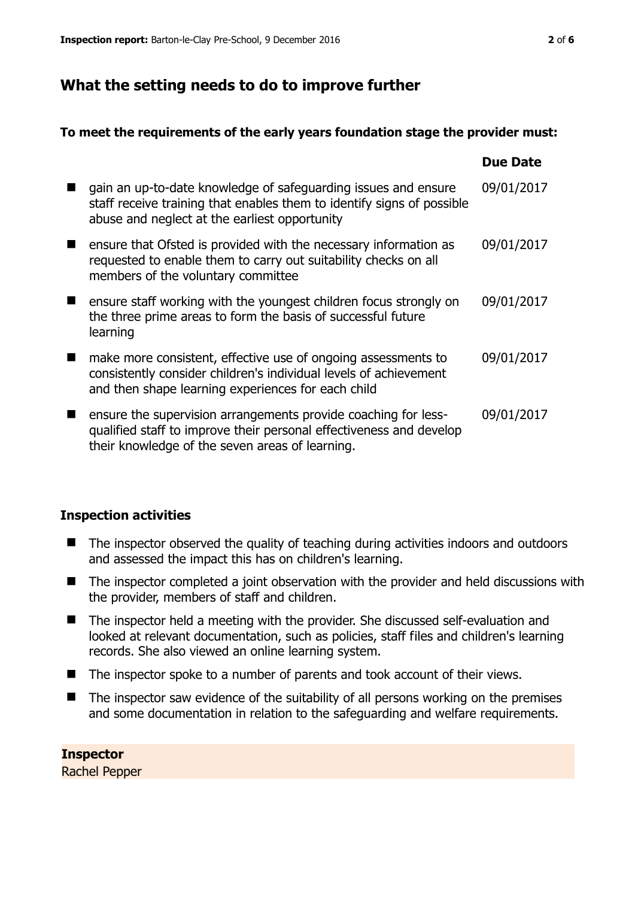# **What the setting needs to do to improve further**

#### **To meet the requirements of the early years foundation stage the provider must:**

|                |                                                                                                                                                                                           | <b>Due Date</b> |
|----------------|-------------------------------------------------------------------------------------------------------------------------------------------------------------------------------------------|-----------------|
| ■              | gain an up-to-date knowledge of safeguarding issues and ensure<br>staff receive training that enables them to identify signs of possible<br>abuse and neglect at the earliest opportunity | 09/01/2017      |
| $\blacksquare$ | ensure that Ofsted is provided with the necessary information as<br>requested to enable them to carry out suitability checks on all<br>members of the voluntary committee                 | 09/01/2017      |
|                | ensure staff working with the youngest children focus strongly on<br>the three prime areas to form the basis of successful future<br>learning                                             | 09/01/2017      |
|                | make more consistent, effective use of ongoing assessments to<br>consistently consider children's individual levels of achievement<br>and then shape learning experiences for each child  | 09/01/2017      |
| ■              | ensure the supervision arrangements provide coaching for less-<br>qualified staff to improve their personal effectiveness and develop<br>their knowledge of the seven areas of learning.  | 09/01/2017      |

## **Inspection activities**

- The inspector observed the quality of teaching during activities indoors and outdoors and assessed the impact this has on children's learning.
- The inspector completed a joint observation with the provider and held discussions with the provider, members of staff and children.
- The inspector held a meeting with the provider. She discussed self-evaluation and looked at relevant documentation, such as policies, staff files and children's learning records. She also viewed an online learning system.
- The inspector spoke to a number of parents and took account of their views.
- $\blacksquare$  The inspector saw evidence of the suitability of all persons working on the premises and some documentation in relation to the safeguarding and welfare requirements.

#### **Inspector**

Rachel Pepper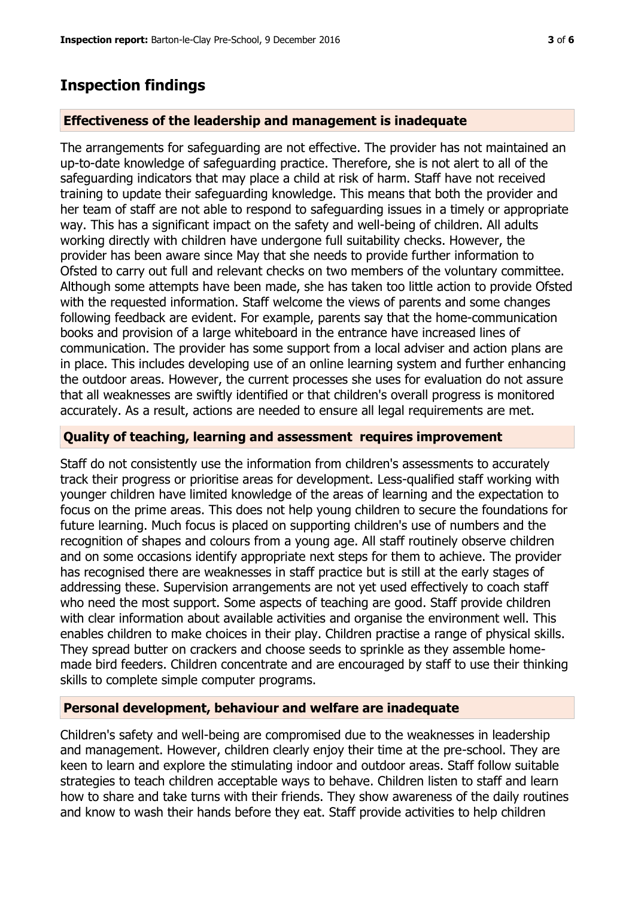## **Inspection findings**

#### **Effectiveness of the leadership and management is inadequate**

The arrangements for safeguarding are not effective. The provider has not maintained an up-to-date knowledge of safeguarding practice. Therefore, she is not alert to all of the safeguarding indicators that may place a child at risk of harm. Staff have not received training to update their safeguarding knowledge. This means that both the provider and her team of staff are not able to respond to safeguarding issues in a timely or appropriate way. This has a significant impact on the safety and well-being of children. All adults working directly with children have undergone full suitability checks. However, the provider has been aware since May that she needs to provide further information to Ofsted to carry out full and relevant checks on two members of the voluntary committee. Although some attempts have been made, she has taken too little action to provide Ofsted with the requested information. Staff welcome the views of parents and some changes following feedback are evident. For example, parents say that the home-communication books and provision of a large whiteboard in the entrance have increased lines of communication. The provider has some support from a local adviser and action plans are in place. This includes developing use of an online learning system and further enhancing the outdoor areas. However, the current processes she uses for evaluation do not assure that all weaknesses are swiftly identified or that children's overall progress is monitored accurately. As a result, actions are needed to ensure all legal requirements are met.

#### **Quality of teaching, learning and assessment requires improvement**

Staff do not consistently use the information from children's assessments to accurately track their progress or prioritise areas for development. Less-qualified staff working with younger children have limited knowledge of the areas of learning and the expectation to focus on the prime areas. This does not help young children to secure the foundations for future learning. Much focus is placed on supporting children's use of numbers and the recognition of shapes and colours from a young age. All staff routinely observe children and on some occasions identify appropriate next steps for them to achieve. The provider has recognised there are weaknesses in staff practice but is still at the early stages of addressing these. Supervision arrangements are not yet used effectively to coach staff who need the most support. Some aspects of teaching are good. Staff provide children with clear information about available activities and organise the environment well. This enables children to make choices in their play. Children practise a range of physical skills. They spread butter on crackers and choose seeds to sprinkle as they assemble homemade bird feeders. Children concentrate and are encouraged by staff to use their thinking skills to complete simple computer programs.

#### **Personal development, behaviour and welfare are inadequate**

Children's safety and well-being are compromised due to the weaknesses in leadership and management. However, children clearly enjoy their time at the pre-school. They are keen to learn and explore the stimulating indoor and outdoor areas. Staff follow suitable strategies to teach children acceptable ways to behave. Children listen to staff and learn how to share and take turns with their friends. They show awareness of the daily routines and know to wash their hands before they eat. Staff provide activities to help children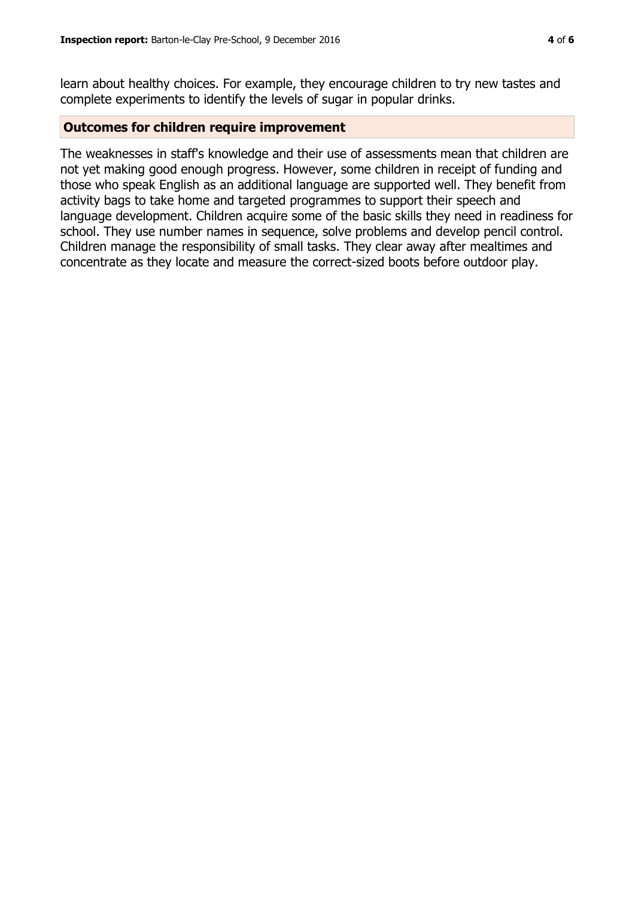learn about healthy choices. For example, they encourage children to try new tastes and complete experiments to identify the levels of sugar in popular drinks.

#### **Outcomes for children require improvement**

The weaknesses in staff's knowledge and their use of assessments mean that children are not yet making good enough progress. However, some children in receipt of funding and those who speak English as an additional language are supported well. They benefit from activity bags to take home and targeted programmes to support their speech and language development. Children acquire some of the basic skills they need in readiness for school. They use number names in sequence, solve problems and develop pencil control. Children manage the responsibility of small tasks. They clear away after mealtimes and concentrate as they locate and measure the correct-sized boots before outdoor play.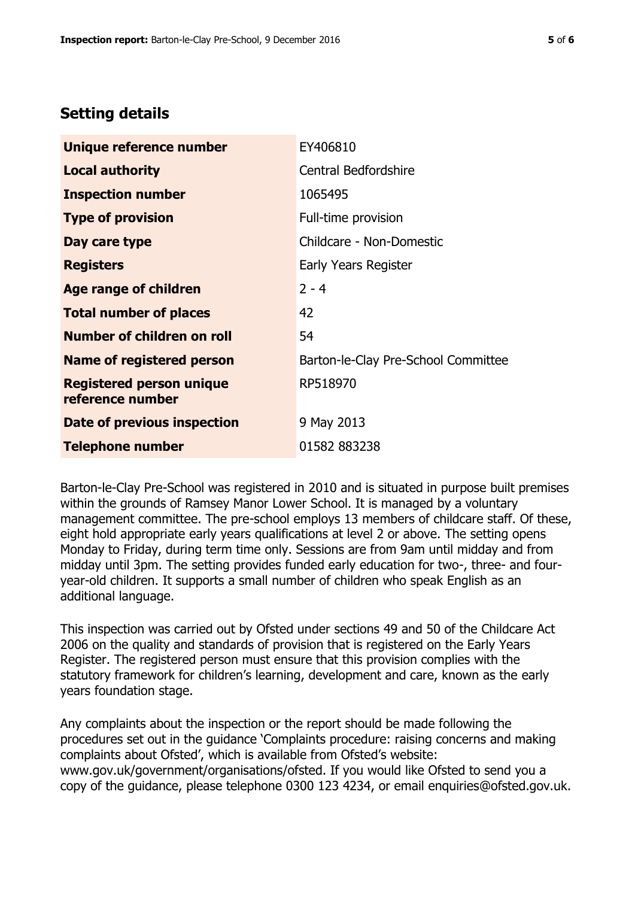# **Setting details**

| Unique reference number                             | EY406810                            |
|-----------------------------------------------------|-------------------------------------|
| <b>Local authority</b>                              | <b>Central Bedfordshire</b>         |
| <b>Inspection number</b>                            | 1065495                             |
| <b>Type of provision</b>                            | Full-time provision                 |
| Day care type                                       | Childcare - Non-Domestic            |
| <b>Registers</b>                                    | Early Years Register                |
| <b>Age range of children</b>                        | $2 - 4$                             |
| <b>Total number of places</b>                       | 42                                  |
| Number of children on roll                          | 54                                  |
| Name of registered person                           | Barton-le-Clay Pre-School Committee |
| <b>Registered person unique</b><br>reference number | RP518970                            |
| Date of previous inspection                         | 9 May 2013                          |
| <b>Telephone number</b>                             | 01582 883238                        |

Barton-le-Clay Pre-School was registered in 2010 and is situated in purpose built premises within the grounds of Ramsey Manor Lower School. It is managed by a voluntary management committee. The pre-school employs 13 members of childcare staff. Of these, eight hold appropriate early years qualifications at level 2 or above. The setting opens Monday to Friday, during term time only. Sessions are from 9am until midday and from midday until 3pm. The setting provides funded early education for two-, three- and fouryear-old children. It supports a small number of children who speak English as an additional language.

This inspection was carried out by Ofsted under sections 49 and 50 of the Childcare Act 2006 on the quality and standards of provision that is registered on the Early Years Register. The registered person must ensure that this provision complies with the statutory framework for children's learning, development and care, known as the early years foundation stage.

Any complaints about the inspection or the report should be made following the procedures set out in the guidance 'Complaints procedure: raising concerns and making complaints about Ofsted', which is available from Ofsted's website: www.gov.uk/government/organisations/ofsted. If you would like Ofsted to send you a copy of the guidance, please telephone 0300 123 4234, or email enquiries@ofsted.gov.uk.